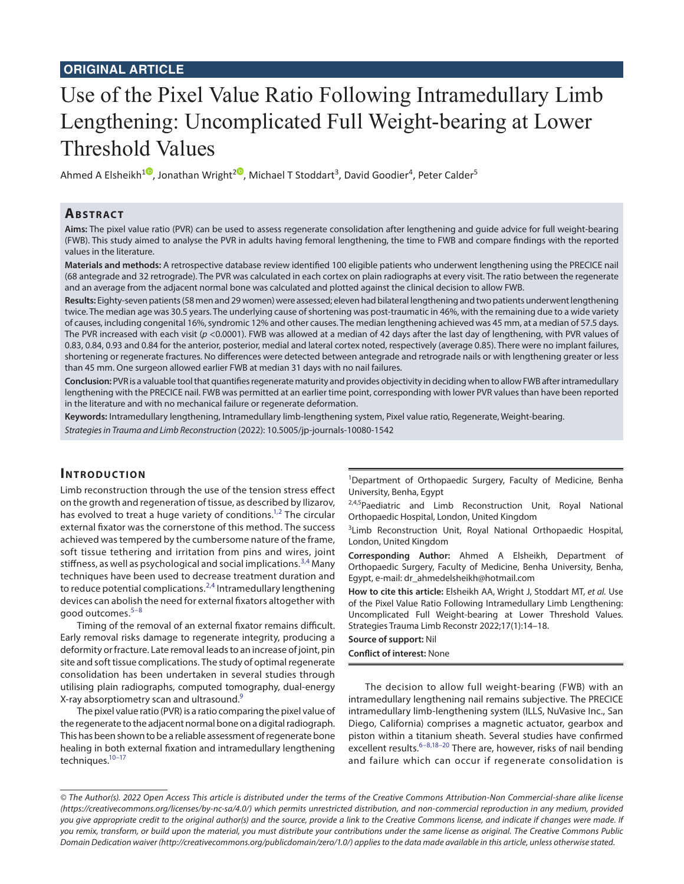# **ORIGINAL ARTICLE**

# Use of the Pixel Value Ratio Following Intramedullary Limb Lengthening: Uncomplicated Full Weight-bearing at Lower Threshold Values

Ahmed A Elsheikh $^{10}$ [,](https://orcid.org/0000-0001-5814-6684
) Jonathan Wright $^{20}$  $^{20}$  $^{20}$ , Michael T Stoddart $^3$ , David Goodier $^4$ , Peter Calder $^5$ 

## **Ab s t rac t**

**Aims:** The pixel value ratio (PVR) can be used to assess regenerate consolidation after lengthening and guide advice for full weight-bearing (FWB). This study aimed to analyse the PVR in adults having femoral lengthening, the time to FWB and compare findings with the reported values in the literature.

**Materials and methods:** A retrospective database review identified 100 eligible patients who underwent lengthening using the PRECICE nail (68 antegrade and 32 retrograde). The PVR was calculated in each cortex on plain radiographs at every visit. The ratio between the regenerate and an average from the adjacent normal bone was calculated and plotted against the clinical decision to allow FWB.

**Results:** Eighty-seven patients (58 men and 29 women) were assessed; eleven had bilateral lengthening and two patients underwent lengthening twice. The median age was 30.5 years. The underlying cause of shortening was post-traumatic in 46%, with the remaining due to a wide variety of causes, including congenital 16%, syndromic 12% and other causes. The median lengthening achieved was 45 mm, at a median of 57.5 days. The PVR increased with each visit (*p* <0.0001). FWB was allowed at a median of 42 days after the last day of lengthening, with PVR values of 0.83, 0.84, 0.93 and 0.84 for the anterior, posterior, medial and lateral cortex noted, respectively (average 0.85). There were no implant failures, shortening or regenerate fractures. No differences were detected between antegrade and retrograde nails or with lengthening greater or less than 45 mm. One surgeon allowed earlier FWB at median 31 days with no nail failures.

**Conclusion:** PVR is a valuable tool that quantifies regenerate maturity and provides objectivity in deciding when to allow FWB after intramedullary lengthening with the PRECICE nail. FWB was permitted at an earlier time point, corresponding with lower PVR values than have been reported in the literature and with no mechanical failure or regenerate deformation.

**Keywords:** Intramedullary lengthening, Intramedullary limb-lengthening system, Pixel value ratio, Regenerate, Weight-bearing. *Strategies in Trauma and Limb Reconstruction* (2022): 10.5005/jp-journals-10080-1542

## **INTRODUCTION**

Limb reconstruction through the use of the tension stress effect on the growth and regeneration of tissue, as described by Ilizarov, has evolved to treat a huge variety of conditions.<sup>1,[2](#page-3-1)</sup> The circular external fixator was the cornerstone of this method. The success achieved was tempered by the cumbersome nature of the frame, soft tissue tethering and irritation from pins and wires, joint stiffness, as well as psychological and social implications.<sup>[3,](#page-3-2)[4](#page-3-3)</sup> Many techniques have been used to decrease treatment duration and to reduce potential complications.<sup>[2,](#page-3-1)[4](#page-3-3)</sup> Intramedullary lengthening devices can abolish the need for external fixators altogether with good outcomes.[5–](#page-3-4)[8](#page-3-5)

Timing of the removal of an external fixator remains difficult. Early removal risks damage to regenerate integrity, producing a deformity or fracture. Late removal leads to an increase of joint, pin site and soft tissue complications. The study of optimal regenerate consolidation has been undertaken in several studies through utilising plain radiographs, computed tomography, dual-energy X-ray absorptiometry scan and ultrasound.<sup>[9](#page-3-6)</sup>

The pixel value ratio (PVR) is a ratio comparing the pixel value of the regenerate to the adjacent normal bone on a digital radiograph. This has been shown to be a reliable assessment of regenerate bone healing in both external fixation and intramedullary lengthening techniques.<sup>10-17</sup>

<sup>1</sup>Department of Orthopaedic Surgery, Faculty of Medicine, Benha University, Benha, Egypt

<sup>2,4,5</sup>Paediatric and Limb Reconstruction Unit, Royal National Orthopaedic Hospital, London, United Kingdom

<sup>3</sup> Limb Reconstruction Unit, Royal National Orthopaedic Hospital, London, United Kingdom

**Corresponding Author:** Ahmed A Elsheikh, Department of Orthopaedic Surgery, Faculty of Medicine, Benha University, Benha, Egypt, e-mail: dr\_ahmedelsheikh@hotmail.com

**How to cite this article:** Elsheikh AA, Wright J, Stoddart MT, *et al.* Use of the Pixel Value Ratio Following Intramedullary Limb Lengthening: Uncomplicated Full Weight-bearing at Lower Threshold Values. Strategies Trauma Limb Reconstr 2022;17(1):14–18.

**Source of support:** Nil

**Conflict of interest:** None

The decision to allow full weight-bearing (FWB) with an intramedullary lengthening nail remains subjective. The PRECICE intramedullary limb-lengthening system (ILLS, NuVasive Inc., San Diego, California) comprises a magnetic actuator, gearbox and piston within a titanium sheath. Several studies have confirmed excellent results.<sup>[6–](#page-3-8)[8](#page-3-5),[18](#page-4-1)–20</sup> There are, however, risks of nail bending and failure which can occur if regenerate consolidation is

*<sup>©</sup> The Author(s). 2022 Open Access This article is distributed under the terms of the Creative Commons Attribution-Non Commercial-share alike license [\(https://creativecommons.org/licenses/by-nc-sa/4.0/](https://creativecommons.org/licenses/by-nc-sa/4.0/)) which permits unrestricted distribution, and non-commercial reproduction in any medium, provided you give appropriate credit to the original author(s) and the source, provide a link to the Creative Commons license, and indicate if changes were made. If you remix, transform, or build upon the material, you must distribute your contributions under the same license as original. The Creative Commons Public Domain Dedication waiver [\(http://creativecommons.org/publicdomain/zero/1.0/\)](http://creativecommons.org/publicdomain/zero/1.0/) applies to the data made available in this article, unless otherwise stated.*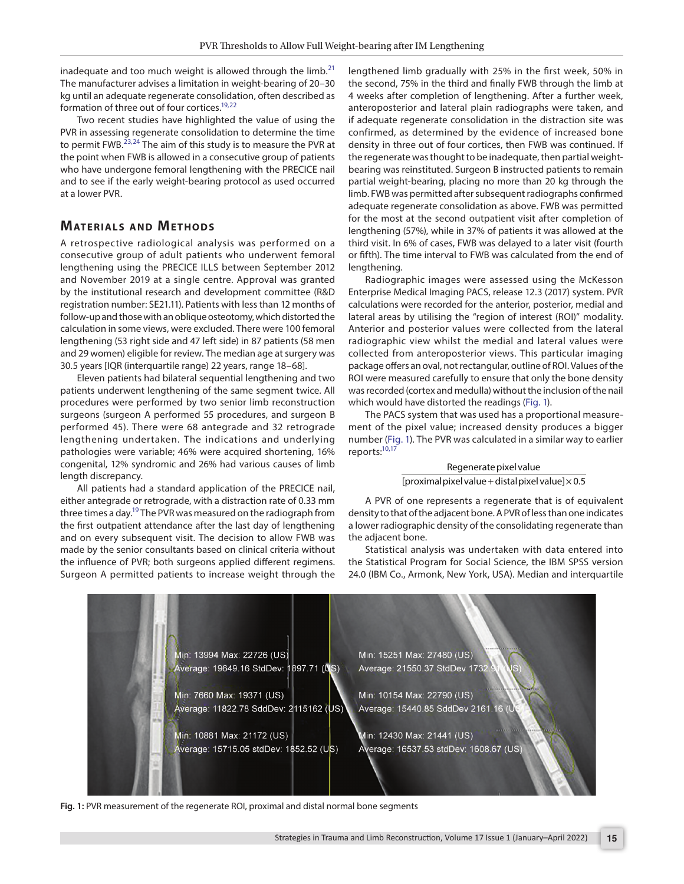inadequate and too much weight is allowed through the limb.<sup>[21](#page-4-3)</sup> The manufacturer advises a limitation in weight-bearing of 20–30 kg until an adequate regenerate consolidation, often described as formation of three out of four cortices[.19](#page-4-4)[,22](#page-4-5)

Two recent studies have highlighted the value of using the PVR in assessing regenerate consolidation to determine the time to permit FWB. $^{23,24}$  $^{23,24}$  $^{23,24}$  $^{23,24}$  $^{23,24}$  The aim of this study is to measure the PVR at the point when FWB is allowed in a consecutive group of patients who have undergone femoral lengthening with the PRECICE nail and to see if the early weight-bearing protocol as used occurred at a lower PVR.

## **MATERIALS AND METHODS**

A retrospective radiological analysis was performed on a consecutive group of adult patients who underwent femoral lengthening using the PRECICE ILLS between September 2012 and November 2019 at a single centre. Approval was granted by the institutional research and development committee (R&D registration number: SE21.11). Patients with less than 12 months of follow-up and those with an oblique osteotomy, which distorted the calculation in some views, were excluded. There were 100 femoral lengthening (53 right side and 47 left side) in 87 patients (58 men and 29 women) eligible for review. The median age at surgery was 30.5 years [IQR (interquartile range) 22 years, range 18–68].

Eleven patients had bilateral sequential lengthening and two patients underwent lengthening of the same segment twice. All procedures were performed by two senior limb reconstruction surgeons (surgeon A performed 55 procedures, and surgeon B performed 45). There were 68 antegrade and 32 retrograde lengthening undertaken. The indications and underlying pathologies were variable; 46% were acquired shortening, 16% congenital, 12% syndromic and 26% had various causes of limb length discrepancy.

All patients had a standard application of the PRECICE nail, either antegrade or retrograde, with a distraction rate of 0.33 mm three times a day.<sup>19</sup> The PVR was measured on the radiograph from the first outpatient attendance after the last day of lengthening and on every subsequent visit. The decision to allow FWB was made by the senior consultants based on clinical criteria without the influence of PVR; both surgeons applied different regimens. Surgeon A permitted patients to increase weight through the

lengthened limb gradually with 25% in the first week, 50% in the second, 75% in the third and finally FWB through the limb at 4 weeks after completion of lengthening. After a further week, anteroposterior and lateral plain radiographs were taken, and if adequate regenerate consolidation in the distraction site was confirmed, as determined by the evidence of increased bone density in three out of four cortices, then FWB was continued. If the regenerate was thought to be inadequate, then partial weightbearing was reinstituted. Surgeon B instructed patients to remain partial weight-bearing, placing no more than 20 kg through the limb. FWB was permitted after subsequent radiographs confirmed adequate regenerate consolidation as above. FWB was permitted for the most at the second outpatient visit after completion of lengthening (57%), while in 37% of patients it was allowed at the third visit. In 6% of cases, FWB was delayed to a later visit (fourth or fifth). The time interval to FWB was calculated from the end of lengthening.

Radiographic images were assessed using the McKesson Enterprise Medical Imaging PACS, release 12.3 (2017) system. PVR calculations were recorded for the anterior, posterior, medial and lateral areas by utilising the "region of interest (ROI)" modality. Anterior and posterior values were collected from the lateral radiographic view whilst the medial and lateral values were collected from anteroposterior views. This particular imaging package offers an oval, not rectangular, outline of ROI. Values of the ROI were measured carefully to ensure that only the bone density was recorded (cortex and medulla) without the inclusion of the nail which would have distorted the readings ([Fig. 1\)](#page-1-0).

The PACS system that was used has a proportional measurement of the pixel value; increased density produces a bigger number [\(Fig. 1\)](#page-1-0). The PVR was calculated in a similar way to earlier reports:<sup>10[,17](#page-4-0)</sup>

#### Regenerate pixel value [proximal pixel value + distal pixel value] $\times$  0.5

A PVR of one represents a regenerate that is of equivalent density to that of the adjacent bone. A PVR of less than one indicates a lower radiographic density of the consolidating regenerate than the adjacent bone.

Statistical analysis was undertaken with data entered into the Statistical Program for Social Science, the IBM SPSS version 24.0 (IBM Co., Armonk, New York, USA). Median and interquartile



<span id="page-1-0"></span>**Fig. 1:** PVR measurement of the regenerate ROI, proximal and distal normal bone segments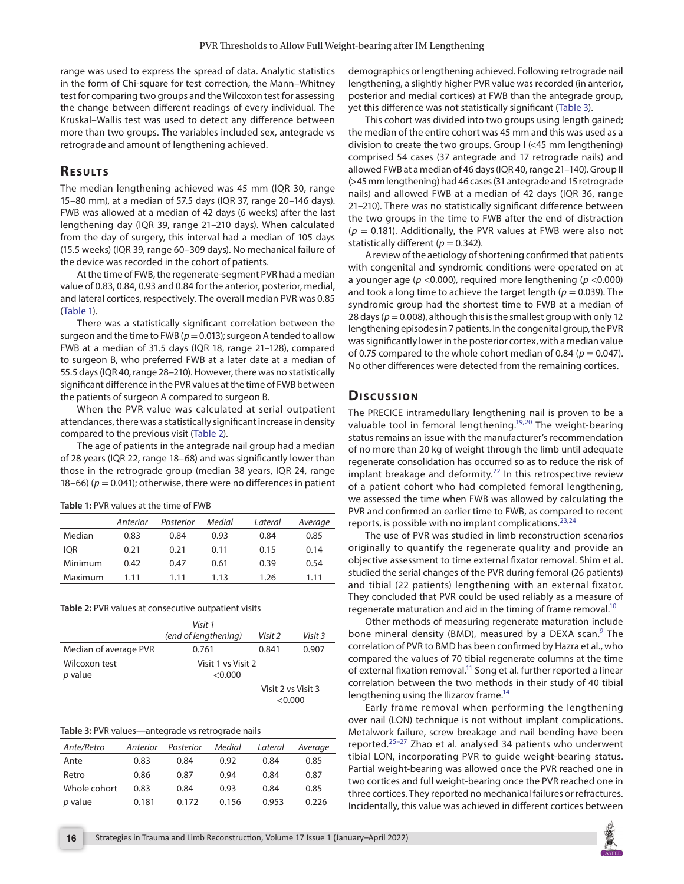range was used to express the spread of data. Analytic statistics in the form of Chi-square for test correction, the Mann–Whitney test for comparing two groups and the Wilcoxon test for assessing the change between different readings of every individual. The Kruskal–Wallis test was used to detect any difference between more than two groups. The variables included sex, antegrade vs retrograde and amount of lengthening achieved.

# **RESULTS**

The median lengthening achieved was 45 mm (IQR 30, range 15–80 mm), at a median of 57.5 days (IQR 37, range 20–146 days). FWB was allowed at a median of 42 days (6 weeks) after the last lengthening day (IQR 39, range 21–210 days). When calculated from the day of surgery, this interval had a median of 105 days (15.5 weeks) (IQR 39, range 60–309 days). No mechanical failure of the device was recorded in the cohort of patients.

At the time of FWB, the regenerate-segment PVR had a median value of 0.83, 0.84, 0.93 and 0.84 for the anterior, posterior, medial, and lateral cortices, respectively. The overall median PVR was 0.85 ([Table 1\)](#page-2-0).

There was a statistically significant correlation between the surgeon and the time to FWB ( $p = 0.013$ ); surgeon A tended to allow FWB at a median of 31.5 days (IQR 18, range 21–128), compared to surgeon B, who preferred FWB at a later date at a median of 55.5 days (IQR 40, range 28–210). However, there was no statistically significant difference in the PVR values at the time of FWB between the patients of surgeon A compared to surgeon B.

When the PVR value was calculated at serial outpatient attendances, there was a statistically significant increase in density compared to the previous visit [\(Table 2\)](#page-2-1).

The age of patients in the antegrade nail group had a median of 28 years (IQR 22, range 18–68) and was significantly lower than those in the retrograde group (median 38 years, IQR 24, range 18–66) ( $p = 0.041$ ); otherwise, there were no differences in patient

<span id="page-2-0"></span>

|  |  | <b>Table 1: PVR values at the time of FWB</b> |  |  |
|--|--|-----------------------------------------------|--|--|
|--|--|-----------------------------------------------|--|--|

|            | Anterior | Posterior | Medial | Lateral | Average |
|------------|----------|-----------|--------|---------|---------|
| Median     | 0.83     | 0.84      | 0.93   | 0.84    | 0.85    |
| <b>IOR</b> | 0.21     | 0.21      | 0.11   | 0.15    | 0.14    |
| Minimum    | 0.42     | 0.47      | 0.61   | 0.39    | 0.54    |
| Maximum    | 1.11     | 111       | 1.13   | 1.26    | 1.11    |

<span id="page-2-1"></span>**Table 2:** PVR values at consecutive outpatient visits

|                       | Visit 1<br>(end of lengthening) |                               | Visit 3 |
|-----------------------|---------------------------------|-------------------------------|---------|
| Median of average PVR | 0.761                           | 0.841                         | 0.907   |
| Wilcoxon test         | Visit 1 ys Visit 2              |                               |         |
| p value               | <0.000                          |                               |         |
|                       |                                 | Visit 2 vs Visit 3<br>< 0.000 |         |
|                       |                                 |                               |         |

#### <span id="page-2-2"></span>**Table 3:** PVR values—antegrade vs retrograde nails

| Ante/Retro   | Anterior | Posterior | Medial | Lateral | Average |
|--------------|----------|-----------|--------|---------|---------|
| Ante         | 0.83     | 0.84      | 0.92   | 0.84    | 0.85    |
| Retro        | 0.86     | 0.87      | 0.94   | 0.84    | 0.87    |
| Whole cohort | 0.83     | 0.84      | 0.93   | 0.84    | 0.85    |
| p value      | 0.181    | 0.172     | 0.156  | 0.953   | 0.226   |

demographics or lengthening achieved. Following retrograde nail lengthening, a slightly higher PVR value was recorded (in anterior, posterior and medial cortices) at FWB than the antegrade group, yet this difference was not statistically significant [\(Table 3\)](#page-2-2).

This cohort was divided into two groups using length gained; the median of the entire cohort was 45 mm and this was used as a division to create the two groups. Group I (<45 mm lengthening) comprised 54 cases (37 antegrade and 17 retrograde nails) and allowed FWB at a median of 46 days (IQR 40, range 21–140). Group II (>45 mm lengthening) had 46 cases (31 antegrade and 15 retrograde nails) and allowed FWB at a median of 42 days (IQR 36, range 21–210). There was no statistically significant difference between the two groups in the time to FWB after the end of distraction  $(p = 0.181)$ . Additionally, the PVR values at FWB were also not statistically different ( $p = 0.342$ ).

A review of the aetiology of shortening confirmed that patients with congenital and syndromic conditions were operated on at a younger age (*p* <0.000), required more lengthening (*p* <0.000) and took a long time to achieve the target length ( $p = 0.039$ ). The syndromic group had the shortest time to FWB at a median of 28 days ( $p = 0.008$ ), although this is the smallest group with only 12 lengthening episodes in 7 patients. In the congenital group, the PVR was significantly lower in the posterior cortex, with a median value of 0.75 compared to the whole cohort median of 0.84 ( $p = 0.047$ ). No other differences were detected from the remaining cortices.

#### **Dis c u s sio n**

The PRECICE intramedullary lengthening nail is proven to be a valuable tool in femoral lengthening.<sup>19,20</sup> The weight-bearing status remains an issue with the manufacturer's recommendation of no more than 20 kg of weight through the limb until adequate regenerate consolidation has occurred so as to reduce the risk of implant breakage and deformity. $22$  In this retrospective review of a patient cohort who had completed femoral lengthening, we assessed the time when FWB was allowed by calculating the PVR and confirmed an earlier time to FWB, as compared to recent reports, is possible with no implant complications.<sup>[23](#page-4-6)[,24](#page-4-7)</sup>

The use of PVR was studied in limb reconstruction scenarios originally to quantify the regenerate quality and provide an objective assessment to time external fixator removal. Shim et al. studied the serial changes of the PVR during femoral (26 patients) and tibial (22 patients) lengthening with an external fixator. They concluded that PVR could be used reliably as a measure of regenerate maturation and aid in the timing of frame removal.<sup>10</sup>

Other methods of measuring regenerate maturation include bone mineral density (BMD), measured by a DEXA scan.<sup>[9](#page-3-6)</sup> The correlation of PVR to BMD has been confirmed by Hazra et al., who compared the values of 70 tibial regenerate columns at the time of external fixation removal.<sup>11</sup> Song et al. further reported a linear correlation between the two methods in their study of 40 tibial lengthening using the Ilizarov frame[.14](#page-3-10)

Early frame removal when performing the lengthening over nail (LON) technique is not without implant complications. Metalwork failure, screw breakage and nail bending have been reported.[25](#page-4-8)[–27](#page-4-9) Zhao et al. analysed 34 patients who underwent tibial LON, incorporating PVR to guide weight-bearing status. Partial weight-bearing was allowed once the PVR reached one in two cortices and full weight-bearing once the PVR reached one in three cortices. They reported no mechanical failures or refractures. Incidentally, this value was achieved in different cortices between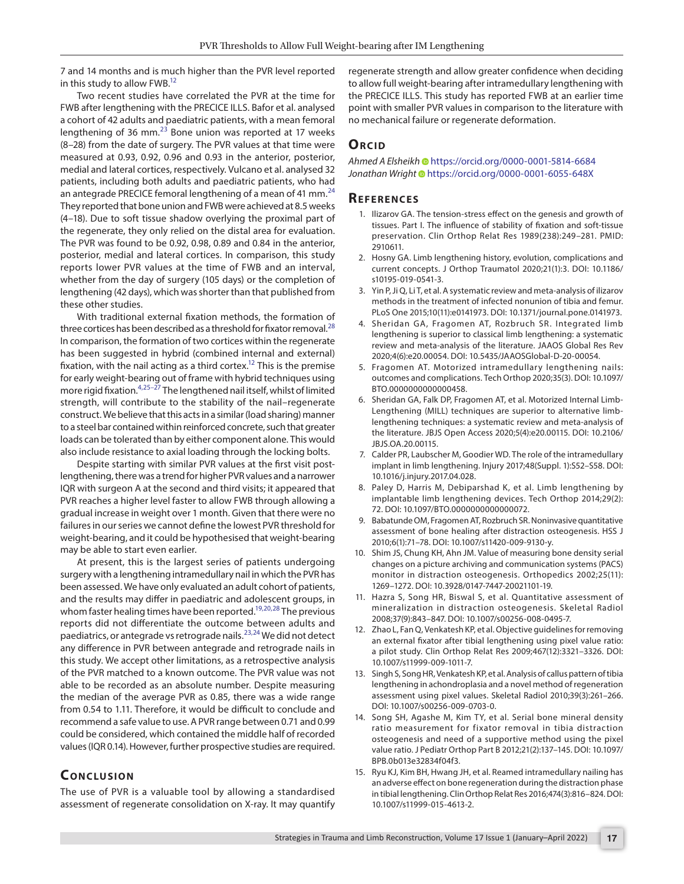7 and 14 months and is much higher than the PVR level reported in this study to allow FWB[.12](#page-3-11)

Two recent studies have correlated the PVR at the time for FWB after lengthening with the PRECICE ILLS. Bafor et al. analysed a cohort of 42 adults and paediatric patients, with a mean femoral lengthening of 36  $mm<sup>23</sup>$  $mm<sup>23</sup>$  $mm<sup>23</sup>$  Bone union was reported at 17 weeks (8–28) from the date of surgery. The PVR values at that time were measured at 0.93, 0.92, 0.96 and 0.93 in the anterior, posterior, medial and lateral cortices, respectively. Vulcano et al. analysed 32 patients, including both adults and paediatric patients, who had an antegrade PRECICE femoral lengthening of a mean of 41 mm. $^{24}$  $^{24}$  $^{24}$ They reported that bone union and FWB were achieved at 8.5 weeks (4–18). Due to soft tissue shadow overlying the proximal part of the regenerate, they only relied on the distal area for evaluation. The PVR was found to be 0.92, 0.98, 0.89 and 0.84 in the anterior, posterior, medial and lateral cortices. In comparison, this study reports lower PVR values at the time of FWB and an interval, whether from the day of surgery (105 days) or the completion of lengthening (42 days), which was shorter than that published from these other studies.

With traditional external fixation methods, the formation of three cortices has been described as a threshold for fixator removal. $^{28}$  $^{28}$  $^{28}$ In comparison, the formation of two cortices within the regenerate has been suggested in hybrid (combined internal and external) fixation, with the nail acting as a third cortex.<sup>12</sup> This is the premise for early weight-bearing out of frame with hybrid techniques using more rigid fixation.[4,](#page-3-3)[25–](#page-4-8)[27](#page-4-9) The lengthened nail itself, whilst of limited strength, will contribute to the stability of the nail–regenerate construct. We believe that this acts in a similar (load sharing) manner to a steel bar contained within reinforced concrete, such that greater loads can be tolerated than by either component alone. This would also include resistance to axial loading through the locking bolts.

Despite starting with similar PVR values at the first visit postlengthening, there was a trend for higher PVR values and a narrower IQR with surgeon A at the second and third visits; it appeared that PVR reaches a higher level faster to allow FWB through allowing a gradual increase in weight over 1 month. Given that there were no failures in our series we cannot define the lowest PVR threshold for weight-bearing, and it could be hypothesised that weight-bearing may be able to start even earlier.

At present, this is the largest series of patients undergoing surgery with a lengthening intramedullary nail in which the PVR has been assessed. We have only evaluated an adult cohort of patients, and the results may differ in paediatric and adolescent groups, in whom faster healing times have been reported.<sup>19,[20,](#page-4-2)28</sup> The previous reports did not differentiate the outcome between adults and paediatrics, or antegrade vs retrograde nails.[23](#page-4-6),[24](#page-4-7) We did not detect any difference in PVR between antegrade and retrograde nails in this study. We accept other limitations, as a retrospective analysis of the PVR matched to a known outcome. The PVR value was not able to be recorded as an absolute number. Despite measuring the median of the average PVR as 0.85, there was a wide range from 0.54 to 1.11. Therefore, it would be difficult to conclude and recommend a safe value to use. A PVR range between 0.71 and 0.99 could be considered, which contained the middle half of recorded values (IQR 0.14). However, further prospective studies are required.

# **CONCLUSION**

The use of PVR is a valuable tool by allowing a standardised assessment of regenerate consolidation on X-ray. It may quantify regenerate strength and allow greater confidence when deciding to allow full weight-bearing after intramedullary lengthening with the PRECICE ILLS. This study has reported FWB at an earlier time point with smaller PVR values in comparison to the literature with no mechanical failure or regenerate deformation.

#### **ORCID**

*Ahmed A Elsheik[h](https://orcid.org/0000-0001-5814-6684
)* https://orcid.org/0000-0001-5814-6684 *Jonathan Wright*https://orcid.org/0000-0001-6055-648X

#### **Re f e r e n c e s**

- <span id="page-3-0"></span>1. Ilizarov GA. The tension-stress effect on the genesis and growth of tissues. Part I. The influence of stability of fixation and soft-tissue preservation. Clin Orthop Relat Res 1989(238):249–281. PMID: 2910611.
- <span id="page-3-1"></span>2. Hosny GA. Limb lengthening history, evolution, complications and current concepts. J Orthop Traumatol 2020;21(1):3. DOI: 10.1186/ s10195-019-0541-3.
- <span id="page-3-2"></span>3. Yin P, Ji Q, Li T, et al. A systematic review and meta-analysis of ilizarov methods in the treatment of infected nonunion of tibia and femur. PLoS One 2015;10(11):e0141973. DOI: 10.1371/journal.pone.0141973.
- <span id="page-3-3"></span>4. Sheridan GA, Fragomen AT, Rozbruch SR. Integrated limb lengthening is superior to classical limb lengthening: a systematic review and meta-analysis of the literature. JAAOS Global Res Rev 2020;4(6):e20.00054. DOI: 10.5435/JAAOSGlobal-D-20-00054.
- <span id="page-3-4"></span>5. Fragomen AT. Motorized intramedullary lengthening nails: outcomes and complications. Tech Orthop 2020;35(3). DOI: 10.1097/ BTO.0000000000000458.
- <span id="page-3-8"></span>6. Sheridan GA, Falk DP, Fragomen AT, et al. Motorized Internal Limb-Lengthening (MILL) techniques are superior to alternative limblengthening techniques: a systematic review and meta-analysis of the literature. JBJS Open Access 2020;5(4):e20.00115. DOI: 10.2106/ JBJS.OA.20.00115.
- 7. Calder PR, Laubscher M, Goodier WD. The role of the intramedullary implant in limb lengthening. Injury 2017;48(Suppl. 1):S52–S58. DOI: 10.1016/j.injury.2017.04.028.
- <span id="page-3-5"></span>8. Paley D, Harris M, Debiparshad K, et al. Limb lengthening by implantable limb lengthening devices. Tech Orthop 2014;29(2): 72. DOI: 10.1097/BTO.0000000000000072.
- <span id="page-3-6"></span>9. Babatunde OM, Fragomen AT, Rozbruch SR. Noninvasive quantitative assessment of bone healing after distraction osteogenesis. HSS J 2010;6(1):71–78. DOI: 10.1007/s11420-009-9130-y.
- <span id="page-3-7"></span>10. Shim JS, Chung KH, Ahn JM. Value of measuring bone density serial changes on a picture archiving and communication systems (PACS) monitor in distraction osteogenesis. Orthopedics 2002;25(11): 1269–1272. DOI: 10.3928/0147-7447-20021101-19.
- <span id="page-3-9"></span>11. Hazra S, Song HR, Biswal S, et al. Quantitative assessment of mineralization in distraction osteogenesis. Skeletal Radiol 2008;37(9):843–847. DOI: 10.1007/s00256-008-0495-7.
- <span id="page-3-11"></span>12. Zhao L, Fan Q, Venkatesh KP, et al. Objective guidelines for removing an external fixator after tibial lengthening using pixel value ratio: a pilot study. Clin Orthop Relat Res 2009;467(12):3321–3326. DOI: 10.1007/s11999-009-1011-7.
- 13. Singh S, Song HR, Venkatesh KP, et al. Analysis of callus pattern of tibia lengthening in achondroplasia and a novel method of regeneration assessment using pixel values. Skeletal Radiol 2010;39(3):261–266. DOI: 10.1007/s00256-009-0703-0.
- <span id="page-3-10"></span>14. Song SH, Agashe M, Kim TY, et al. Serial bone mineral density ratio measurement for fixator removal in tibia distraction osteogenesis and need of a supportive method using the pixel value ratio. J Pediatr Orthop Part B 2012;21(2):137–145. DOI: 10.1097/ BPB.0b013e32834f04f3.
- 15. Ryu KJ, Kim BH, Hwang JH, et al. Reamed intramedullary nailing has an adverse effect on bone regeneration during the distraction phase in tibial lengthening. Clin Orthop Relat Res 2016;474(3):816–824. DOI: 10.1007/s11999-015-4613-2.